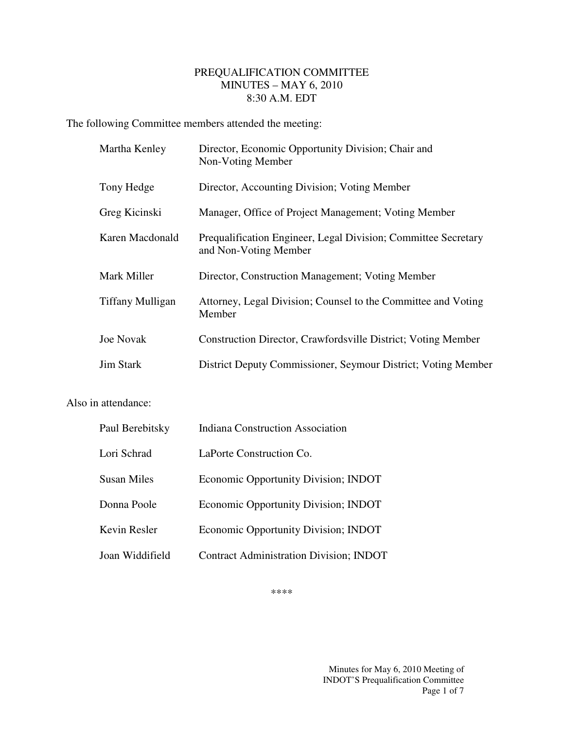## PREQUALIFICATION COMMITTEE MINUTES – MAY 6, 2010 8:30 A.M. EDT

The following Committee members attended the meeting:

| Martha Kenley           | Director, Economic Opportunity Division; Chair and<br>Non-Voting Member                 |
|-------------------------|-----------------------------------------------------------------------------------------|
| Tony Hedge              | Director, Accounting Division; Voting Member                                            |
| Greg Kicinski           | Manager, Office of Project Management; Voting Member                                    |
| Karen Macdonald         | Prequalification Engineer, Legal Division; Committee Secretary<br>and Non-Voting Member |
| Mark Miller             | Director, Construction Management; Voting Member                                        |
| <b>Tiffany Mulligan</b> | Attorney, Legal Division; Counsel to the Committee and Voting<br>Member                 |
| <b>Joe Novak</b>        | Construction Director, Crawfordsville District; Voting Member                           |
| <b>Jim Stark</b>        | District Deputy Commissioner, Seymour District; Voting Member                           |

## Also in attendance:

| Paul Berebitsky | <b>Indiana Construction Association</b>        |
|-----------------|------------------------------------------------|
| Lori Schrad     | LaPorte Construction Co.                       |
| Susan Miles     | <b>Economic Opportunity Division; INDOT</b>    |
| Donna Poole     | Economic Opportunity Division; INDOT           |
| Kevin Resler    | Economic Opportunity Division; INDOT           |
| Joan Widdifield | <b>Contract Administration Division; INDOT</b> |

\*\*\*\*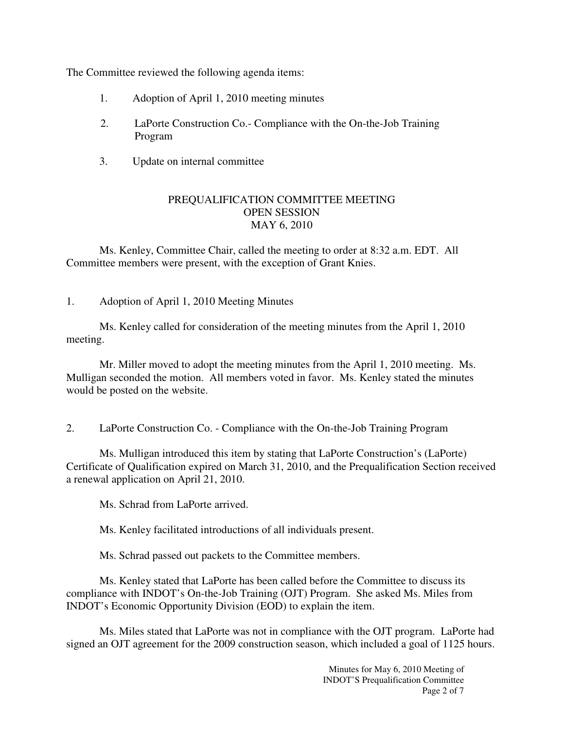The Committee reviewed the following agenda items:

- 1. Adoption of April 1, 2010 meeting minutes
- 2. LaPorte Construction Co.- Compliance with the On-the-Job Training Program
- 3. Update on internal committee

## PREQUALIFICATION COMMITTEE MEETING OPEN SESSION MAY 6, 2010

 Ms. Kenley, Committee Chair, called the meeting to order at 8:32 a.m. EDT. All Committee members were present, with the exception of Grant Knies.

1. Adoption of April 1, 2010 Meeting Minutes

 Ms. Kenley called for consideration of the meeting minutes from the April 1, 2010 meeting.

 Mr. Miller moved to adopt the meeting minutes from the April 1, 2010 meeting. Ms. Mulligan seconded the motion. All members voted in favor. Ms. Kenley stated the minutes would be posted on the website.

2. LaPorte Construction Co. - Compliance with the On-the-Job Training Program

Ms. Mulligan introduced this item by stating that LaPorte Construction's (LaPorte) Certificate of Qualification expired on March 31, 2010, and the Prequalification Section received a renewal application on April 21, 2010.

Ms. Schrad from LaPorte arrived.

Ms. Kenley facilitated introductions of all individuals present.

Ms. Schrad passed out packets to the Committee members.

Ms. Kenley stated that LaPorte has been called before the Committee to discuss its compliance with INDOT's On-the-Job Training (OJT) Program. She asked Ms. Miles from INDOT's Economic Opportunity Division (EOD) to explain the item.

Ms. Miles stated that LaPorte was not in compliance with the OJT program. LaPorte had signed an OJT agreement for the 2009 construction season, which included a goal of 1125 hours.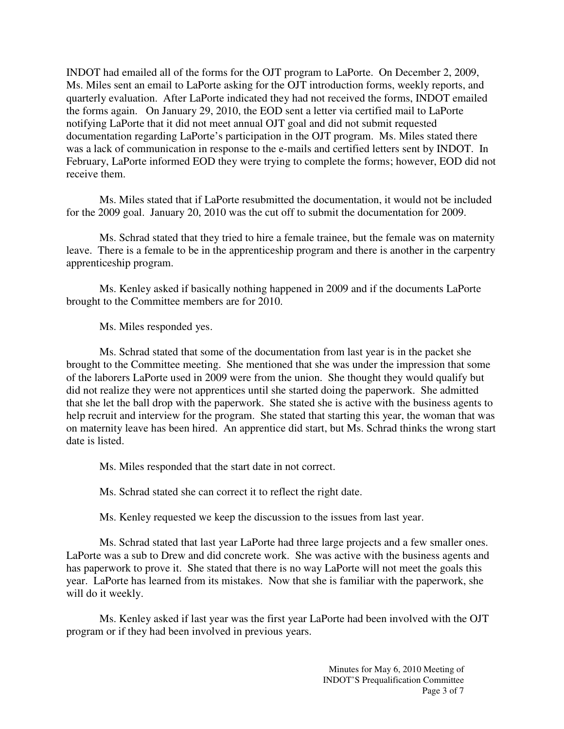INDOT had emailed all of the forms for the OJT program to LaPorte. On December 2, 2009, Ms. Miles sent an email to LaPorte asking for the OJT introduction forms, weekly reports, and quarterly evaluation. After LaPorte indicated they had not received the forms, INDOT emailed the forms again. On January 29, 2010, the EOD sent a letter via certified mail to LaPorte notifying LaPorte that it did not meet annual OJT goal and did not submit requested documentation regarding LaPorte's participation in the OJT program. Ms. Miles stated there was a lack of communication in response to the e-mails and certified letters sent by INDOT. In February, LaPorte informed EOD they were trying to complete the forms; however, EOD did not receive them.

Ms. Miles stated that if LaPorte resubmitted the documentation, it would not be included for the 2009 goal. January 20, 2010 was the cut off to submit the documentation for 2009.

Ms. Schrad stated that they tried to hire a female trainee, but the female was on maternity leave. There is a female to be in the apprenticeship program and there is another in the carpentry apprenticeship program.

Ms. Kenley asked if basically nothing happened in 2009 and if the documents LaPorte brought to the Committee members are for 2010.

Ms. Miles responded yes.

Ms. Schrad stated that some of the documentation from last year is in the packet she brought to the Committee meeting. She mentioned that she was under the impression that some of the laborers LaPorte used in 2009 were from the union. She thought they would qualify but did not realize they were not apprentices until she started doing the paperwork. She admitted that she let the ball drop with the paperwork. She stated she is active with the business agents to help recruit and interview for the program. She stated that starting this year, the woman that was on maternity leave has been hired. An apprentice did start, but Ms. Schrad thinks the wrong start date is listed.

Ms. Miles responded that the start date in not correct.

Ms. Schrad stated she can correct it to reflect the right date.

Ms. Kenley requested we keep the discussion to the issues from last year.

Ms. Schrad stated that last year LaPorte had three large projects and a few smaller ones. LaPorte was a sub to Drew and did concrete work. She was active with the business agents and has paperwork to prove it. She stated that there is no way LaPorte will not meet the goals this year. LaPorte has learned from its mistakes. Now that she is familiar with the paperwork, she will do it weekly.

Ms. Kenley asked if last year was the first year LaPorte had been involved with the OJT program or if they had been involved in previous years.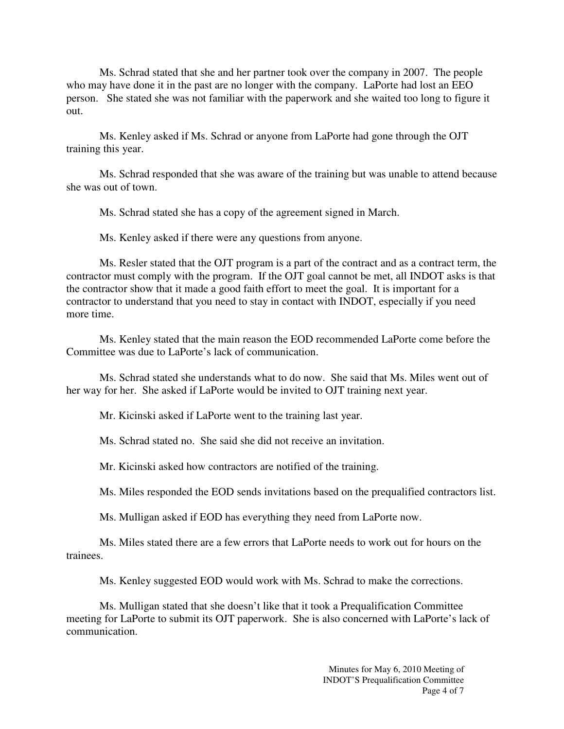Ms. Schrad stated that she and her partner took over the company in 2007. The people who may have done it in the past are no longer with the company. LaPorte had lost an EEO person. She stated she was not familiar with the paperwork and she waited too long to figure it out.

Ms. Kenley asked if Ms. Schrad or anyone from LaPorte had gone through the OJT training this year.

Ms. Schrad responded that she was aware of the training but was unable to attend because she was out of town.

Ms. Schrad stated she has a copy of the agreement signed in March.

Ms. Kenley asked if there were any questions from anyone.

Ms. Resler stated that the OJT program is a part of the contract and as a contract term, the contractor must comply with the program. If the OJT goal cannot be met, all INDOT asks is that the contractor show that it made a good faith effort to meet the goal. It is important for a contractor to understand that you need to stay in contact with INDOT, especially if you need more time.

Ms. Kenley stated that the main reason the EOD recommended LaPorte come before the Committee was due to LaPorte's lack of communication.

Ms. Schrad stated she understands what to do now. She said that Ms. Miles went out of her way for her. She asked if LaPorte would be invited to OJT training next year.

Mr. Kicinski asked if LaPorte went to the training last year.

Ms. Schrad stated no. She said she did not receive an invitation.

Mr. Kicinski asked how contractors are notified of the training.

Ms. Miles responded the EOD sends invitations based on the prequalified contractors list.

Ms. Mulligan asked if EOD has everything they need from LaPorte now.

Ms. Miles stated there are a few errors that LaPorte needs to work out for hours on the trainees.

Ms. Kenley suggested EOD would work with Ms. Schrad to make the corrections.

Ms. Mulligan stated that she doesn't like that it took a Prequalification Committee meeting for LaPorte to submit its OJT paperwork. She is also concerned with LaPorte's lack of communication.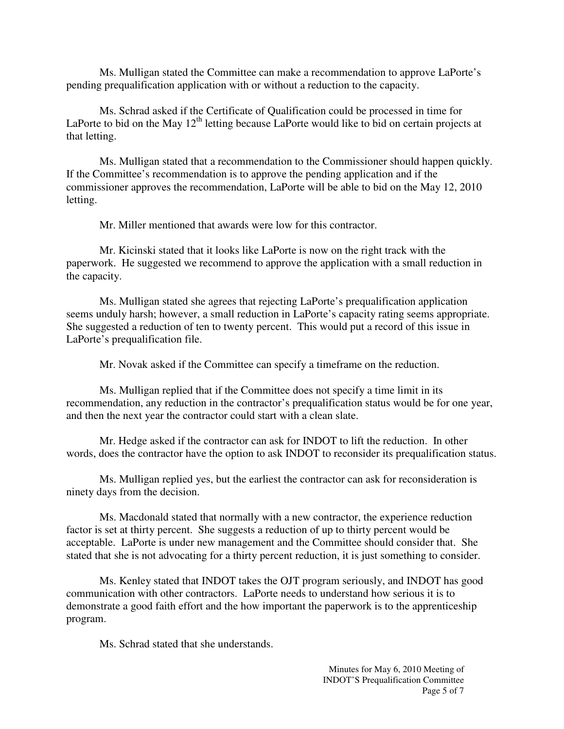Ms. Mulligan stated the Committee can make a recommendation to approve LaPorte's pending prequalification application with or without a reduction to the capacity.

Ms. Schrad asked if the Certificate of Qualification could be processed in time for LaPorte to bid on the May  $12<sup>th</sup>$  letting because LaPorte would like to bid on certain projects at that letting.

 Ms. Mulligan stated that a recommendation to the Commissioner should happen quickly. If the Committee's recommendation is to approve the pending application and if the commissioner approves the recommendation, LaPorte will be able to bid on the May 12, 2010 letting.

Mr. Miller mentioned that awards were low for this contractor.

Mr. Kicinski stated that it looks like LaPorte is now on the right track with the paperwork. He suggested we recommend to approve the application with a small reduction in the capacity.

Ms. Mulligan stated she agrees that rejecting LaPorte's prequalification application seems unduly harsh; however, a small reduction in LaPorte's capacity rating seems appropriate. She suggested a reduction of ten to twenty percent. This would put a record of this issue in LaPorte's prequalification file.

Mr. Novak asked if the Committee can specify a timeframe on the reduction.

Ms. Mulligan replied that if the Committee does not specify a time limit in its recommendation, any reduction in the contractor's prequalification status would be for one year, and then the next year the contractor could start with a clean slate.

Mr. Hedge asked if the contractor can ask for INDOT to lift the reduction. In other words, does the contractor have the option to ask INDOT to reconsider its prequalification status.

Ms. Mulligan replied yes, but the earliest the contractor can ask for reconsideration is ninety days from the decision.

Ms. Macdonald stated that normally with a new contractor, the experience reduction factor is set at thirty percent. She suggests a reduction of up to thirty percent would be acceptable. LaPorte is under new management and the Committee should consider that. She stated that she is not advocating for a thirty percent reduction, it is just something to consider.

Ms. Kenley stated that INDOT takes the OJT program seriously, and INDOT has good communication with other contractors. LaPorte needs to understand how serious it is to demonstrate a good faith effort and the how important the paperwork is to the apprenticeship program.

Ms. Schrad stated that she understands.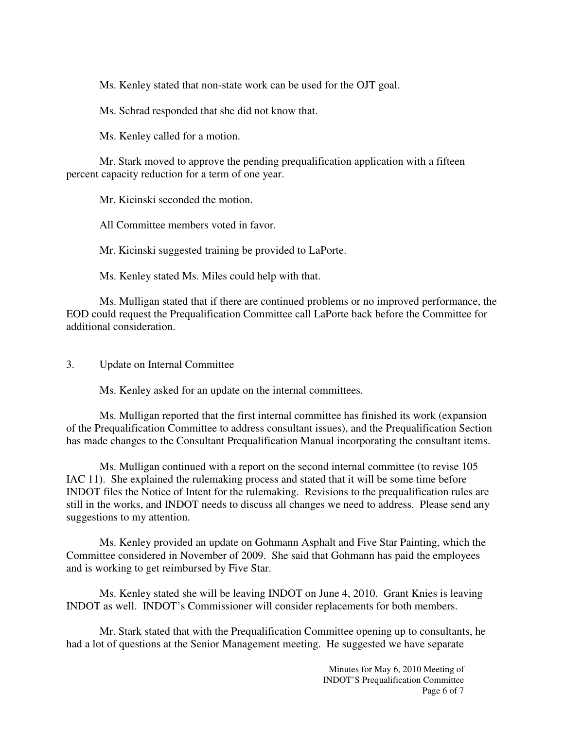Ms. Kenley stated that non-state work can be used for the OJT goal.

Ms. Schrad responded that she did not know that.

Ms. Kenley called for a motion.

 Mr. Stark moved to approve the pending prequalification application with a fifteen percent capacity reduction for a term of one year.

Mr. Kicinski seconded the motion.

All Committee members voted in favor.

Mr. Kicinski suggested training be provided to LaPorte.

Ms. Kenley stated Ms. Miles could help with that.

Ms. Mulligan stated that if there are continued problems or no improved performance, the EOD could request the Prequalification Committee call LaPorte back before the Committee for additional consideration.

3. Update on Internal Committee

Ms. Kenley asked for an update on the internal committees.

Ms. Mulligan reported that the first internal committee has finished its work (expansion of the Prequalification Committee to address consultant issues), and the Prequalification Section has made changes to the Consultant Prequalification Manual incorporating the consultant items.

Ms. Mulligan continued with a report on the second internal committee (to revise 105 IAC 11). She explained the rulemaking process and stated that it will be some time before INDOT files the Notice of Intent for the rulemaking. Revisions to the prequalification rules are still in the works, and INDOT needs to discuss all changes we need to address. Please send any suggestions to my attention.

Ms. Kenley provided an update on Gohmann Asphalt and Five Star Painting, which the Committee considered in November of 2009. She said that Gohmann has paid the employees and is working to get reimbursed by Five Star.

Ms. Kenley stated she will be leaving INDOT on June 4, 2010. Grant Knies is leaving INDOT as well. INDOT's Commissioner will consider replacements for both members.

Mr. Stark stated that with the Prequalification Committee opening up to consultants, he had a lot of questions at the Senior Management meeting. He suggested we have separate